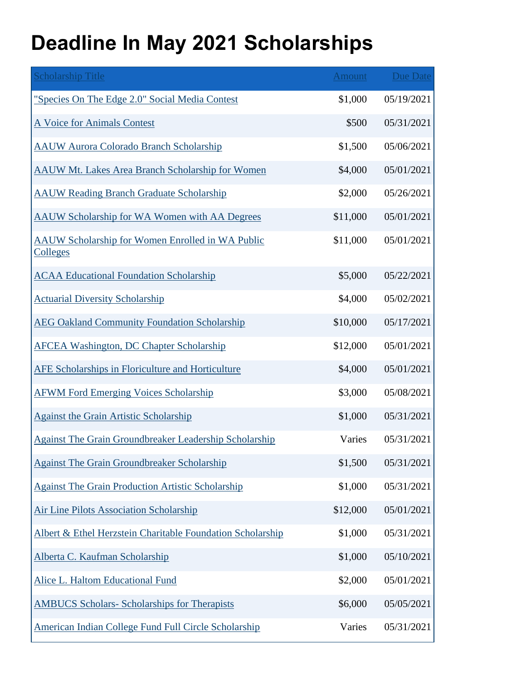## **Deadline In May 2021 Scholarships**

| <b>Scholarship Title</b>                                            | Amount   | Due Date   |
|---------------------------------------------------------------------|----------|------------|
| "Species On The Edge 2.0" Social Media Contest                      | \$1,000  | 05/19/2021 |
| A Voice for Animals Contest                                         | \$500    | 05/31/2021 |
| <b>AAUW Aurora Colorado Branch Scholarship</b>                      | \$1,500  | 05/06/2021 |
| <b>AAUW Mt. Lakes Area Branch Scholarship for Women</b>             | \$4,000  | 05/01/2021 |
| <b>AAUW Reading Branch Graduate Scholarship</b>                     | \$2,000  | 05/26/2021 |
| <b>AAUW Scholarship for WA Women with AA Degrees</b>                | \$11,000 | 05/01/2021 |
| AAUW Scholarship for Women Enrolled in WA Public<br><u>Colleges</u> | \$11,000 | 05/01/2021 |
| <b>ACAA Educational Foundation Scholarship</b>                      | \$5,000  | 05/22/2021 |
| <b>Actuarial Diversity Scholarship</b>                              | \$4,000  | 05/02/2021 |
| <b>AEG Oakland Community Foundation Scholarship</b>                 | \$10,000 | 05/17/2021 |
| <b>AFCEA Washington, DC Chapter Scholarship</b>                     | \$12,000 | 05/01/2021 |
| AFE Scholarships in Floriculture and Horticulture                   | \$4,000  | 05/01/2021 |
| <b>AFWM Ford Emerging Voices Scholarship</b>                        | \$3,000  | 05/08/2021 |
| <b>Against the Grain Artistic Scholarship</b>                       | \$1,000  | 05/31/2021 |
| <b>Against The Grain Groundbreaker Leadership Scholarship</b>       | Varies   | 05/31/2021 |
| <b>Against The Grain Groundbreaker Scholarship</b>                  | \$1,500  | 05/31/2021 |
| <b>Against The Grain Production Artistic Scholarship</b>            | \$1,000  | 05/31/2021 |
| <b>Air Line Pilots Association Scholarship</b>                      | \$12,000 | 05/01/2021 |
| Albert & Ethel Herzstein Charitable Foundation Scholarship          | \$1,000  | 05/31/2021 |
| Alberta C. Kaufman Scholarship                                      | \$1,000  | 05/10/2021 |
| <b>Alice L. Haltom Educational Fund</b>                             | \$2,000  | 05/01/2021 |
| <b>AMBUCS Scholars- Scholarships for Therapists</b>                 | \$6,000  | 05/05/2021 |
| American Indian College Fund Full Circle Scholarship                | Varies   | 05/31/2021 |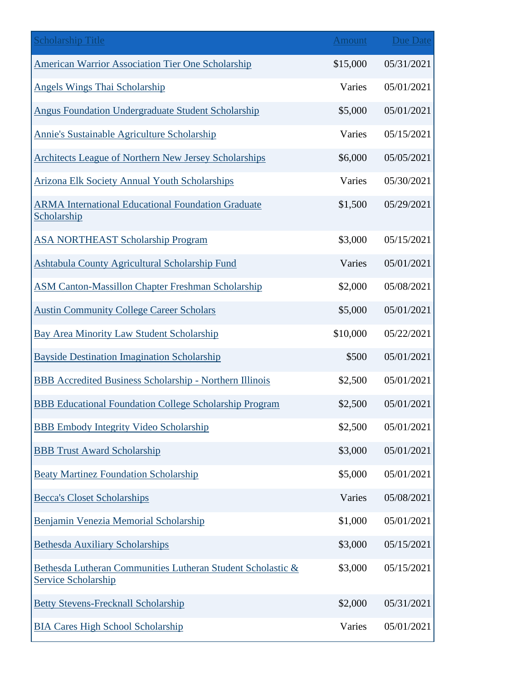| <b>Scholarship Title</b>                                                           | <b>Amount</b> | <b>Due Date</b> |
|------------------------------------------------------------------------------------|---------------|-----------------|
| <b>American Warrior Association Tier One Scholarship</b>                           | \$15,000      | 05/31/2021      |
| <b>Angels Wings Thai Scholarship</b>                                               | Varies        | 05/01/2021      |
| Angus Foundation Undergraduate Student Scholarship                                 | \$5,000       | 05/01/2021      |
| Annie's Sustainable Agriculture Scholarship                                        | Varies        | 05/15/2021      |
| <b>Architects League of Northern New Jersey Scholarships</b>                       | \$6,000       | 05/05/2021      |
| <b>Arizona Elk Society Annual Youth Scholarships</b>                               | Varies        | 05/30/2021      |
| <b>ARMA International Educational Foundation Graduate</b><br>Scholarship           | \$1,500       | 05/29/2021      |
| <b>ASA NORTHEAST Scholarship Program</b>                                           | \$3,000       | 05/15/2021      |
| Ashtabula County Agricultural Scholarship Fund                                     | Varies        | 05/01/2021      |
| <b>ASM Canton-Massillon Chapter Freshman Scholarship</b>                           | \$2,000       | 05/08/2021      |
| <b>Austin Community College Career Scholars</b>                                    | \$5,000       | 05/01/2021      |
| <b>Bay Area Minority Law Student Scholarship</b>                                   | \$10,000      | 05/22/2021      |
| <b>Bayside Destination Imagination Scholarship</b>                                 | \$500         | 05/01/2021      |
| <b>BBB Accredited Business Scholarship - Northern Illinois</b>                     | \$2,500       | 05/01/2021      |
| <b>BBB</b> Educational Foundation College Scholarship Program                      | \$2,500       | 05/01/2021      |
| <b>BBB</b> Embody Integrity Video Scholarship                                      | \$2,500       | 05/01/2021      |
| <b>BBB Trust Award Scholarship</b>                                                 | \$3,000       | 05/01/2021      |
| <b>Beaty Martinez Foundation Scholarship</b>                                       | \$5,000       | 05/01/2021      |
| <b>Becca's Closet Scholarships</b>                                                 | Varies        | 05/08/2021      |
| Benjamin Venezia Memorial Scholarship                                              | \$1,000       | 05/01/2021      |
| <b>Bethesda Auxiliary Scholarships</b>                                             | \$3,000       | 05/15/2021      |
| Bethesda Lutheran Communities Lutheran Student Scholastic &<br>Service Scholarship | \$3,000       | 05/15/2021      |
| <b>Betty Stevens-Frecknall Scholarship</b>                                         | \$2,000       | 05/31/2021      |
| <b>BIA Cares High School Scholarship</b>                                           | Varies        | 05/01/2021      |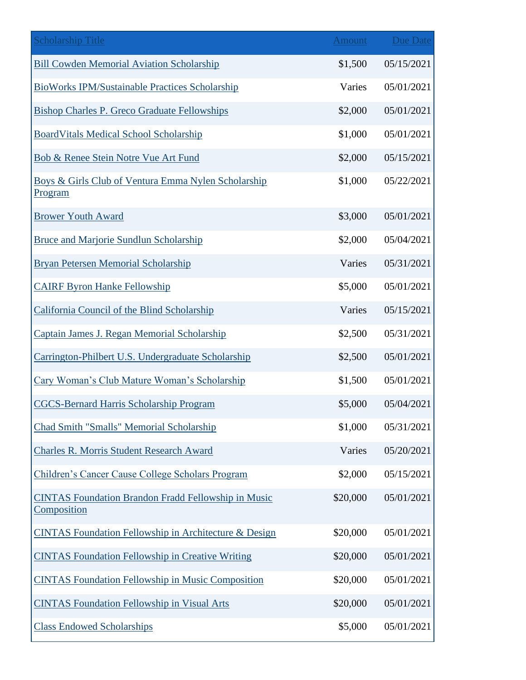| <b>Scholarship Title</b>                                                  | <b>Amount</b> | <b>Due Date</b> |
|---------------------------------------------------------------------------|---------------|-----------------|
| <b>Bill Cowden Memorial Aviation Scholarship</b>                          | \$1,500       | 05/15/2021      |
| <b>BioWorks IPM/Sustainable Practices Scholarship</b>                     | Varies        | 05/01/2021      |
| Bishop Charles P. Greco Graduate Fellowships                              | \$2,000       | 05/01/2021      |
| <b>BoardVitals Medical School Scholarship</b>                             | \$1,000       | 05/01/2021      |
| Bob & Renee Stein Notre Vue Art Fund                                      | \$2,000       | 05/15/2021      |
| Boys & Girls Club of Ventura Emma Nylen Scholarship<br>Program            | \$1,000       | 05/22/2021      |
| <b>Brower Youth Award</b>                                                 | \$3,000       | 05/01/2021      |
| <b>Bruce and Marjorie Sundlun Scholarship</b>                             | \$2,000       | 05/04/2021      |
| <b>Bryan Petersen Memorial Scholarship</b>                                | Varies        | 05/31/2021      |
| <b>CAIRF Byron Hanke Fellowship</b>                                       | \$5,000       | 05/01/2021      |
| California Council of the Blind Scholarship                               | Varies        | 05/15/2021      |
| Captain James J. Regan Memorial Scholarship                               | \$2,500       | 05/31/2021      |
| Carrington-Philbert U.S. Undergraduate Scholarship                        | \$2,500       | 05/01/2021      |
| Cary Woman's Club Mature Woman's Scholarship                              | \$1,500       | 05/01/2021      |
| <b>CGCS-Bernard Harris Scholarship Program</b>                            | \$5,000       | 05/04/2021      |
| Chad Smith "Smalls" Memorial Scholarship                                  | \$1,000       | 05/31/2021      |
| <b>Charles R. Morris Student Research Award</b>                           | Varies        | 05/20/2021      |
| Children's Cancer Cause College Scholars Program                          | \$2,000       | 05/15/2021      |
| <b>CINTAS Foundation Brandon Fradd Fellowship in Music</b><br>Composition | \$20,000      | 05/01/2021      |
| <b>CINTAS Foundation Fellowship in Architecture &amp; Design</b>          | \$20,000      | 05/01/2021      |
| <b>CINTAS Foundation Fellowship in Creative Writing</b>                   | \$20,000      | 05/01/2021      |
| <b>CINTAS Foundation Fellowship in Music Composition</b>                  | \$20,000      | 05/01/2021      |
| <b>CINTAS Foundation Fellowship in Visual Arts</b>                        | \$20,000      | 05/01/2021      |
| <b>Class Endowed Scholarships</b>                                         | \$5,000       | 05/01/2021      |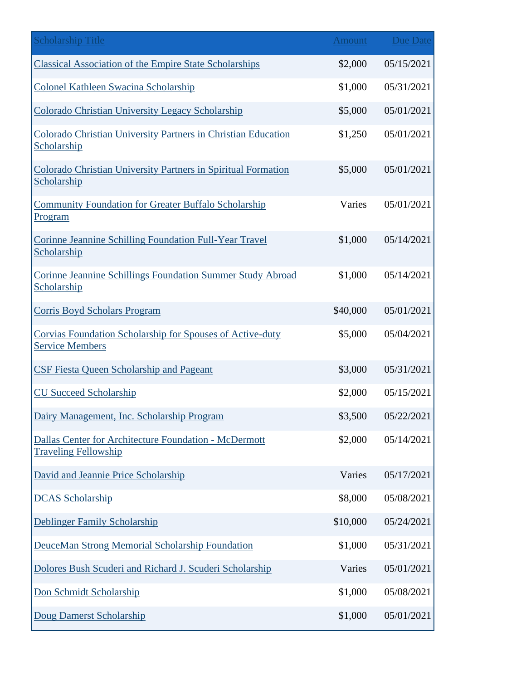| <b>Scholarship Title</b>                                                             | <b>Amount</b> | <b>Due Date</b> |
|--------------------------------------------------------------------------------------|---------------|-----------------|
| <b>Classical Association of the Empire State Scholarships</b>                        | \$2,000       | 05/15/2021      |
| Colonel Kathleen Swacina Scholarship                                                 | \$1,000       | 05/31/2021      |
| Colorado Christian University Legacy Scholarship                                     | \$5,000       | 05/01/2021      |
| Colorado Christian University Partners in Christian Education<br>Scholarship         | \$1,250       | 05/01/2021      |
| Colorado Christian University Partners in Spiritual Formation<br>Scholarship         | \$5,000       | 05/01/2021      |
| <b>Community Foundation for Greater Buffalo Scholarship</b><br>Program               | Varies        | 05/01/2021      |
| Corinne Jeannine Schilling Foundation Full-Year Travel<br>Scholarship                | \$1,000       | 05/14/2021      |
| Corinne Jeannine Schillings Foundation Summer Study Abroad<br>Scholarship            | \$1,000       | 05/14/2021      |
| <b>Corris Boyd Scholars Program</b>                                                  | \$40,000      | 05/01/2021      |
| Corvias Foundation Scholarship for Spouses of Active-duty<br><b>Service Members</b>  | \$5,000       | 05/04/2021      |
| <b>CSF Fiesta Queen Scholarship and Pageant</b>                                      | \$3,000       | 05/31/2021      |
| <b>CU Succeed Scholarship</b>                                                        | \$2,000       | 05/15/2021      |
| Dairy Management, Inc. Scholarship Program                                           | \$3,500       | 05/22/2021      |
| Dallas Center for Architecture Foundation - McDermott<br><b>Traveling Fellowship</b> | \$2,000       | 05/14/2021      |
| David and Jeannie Price Scholarship                                                  | Varies        | 05/17/2021      |
| <b>DCAS</b> Scholarship                                                              | \$8,000       | 05/08/2021      |
| <b>Deblinger Family Scholarship</b>                                                  | \$10,000      | 05/24/2021      |
| DeuceMan Strong Memorial Scholarship Foundation                                      | \$1,000       | 05/31/2021      |
| Dolores Bush Scuderi and Richard J. Scuderi Scholarship                              | Varies        | 05/01/2021      |
| Don Schmidt Scholarship                                                              | \$1,000       | 05/08/2021      |
| <b>Doug Damerst Scholarship</b>                                                      | \$1,000       | 05/01/2021      |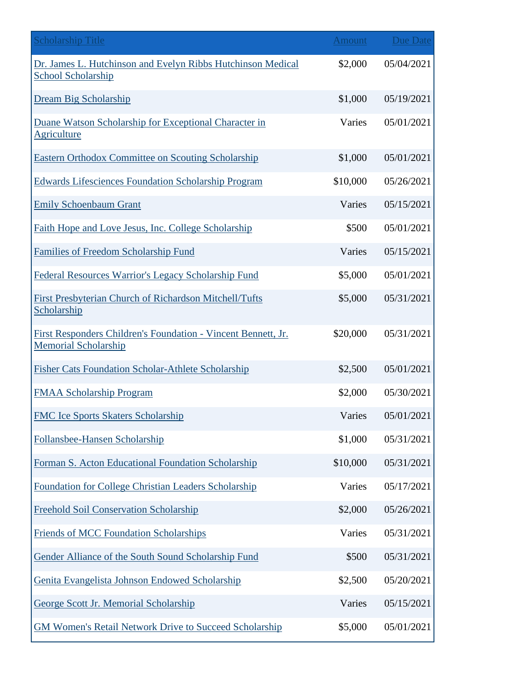| <b>Scholarship Title</b>                                                                     | <b>Amount</b> | Due Date   |
|----------------------------------------------------------------------------------------------|---------------|------------|
| Dr. James L. Hutchinson and Evelyn Ribbs Hutchinson Medical<br><b>School Scholarship</b>     | \$2,000       | 05/04/2021 |
| Dream Big Scholarship                                                                        | \$1,000       | 05/19/2021 |
| Duane Watson Scholarship for Exceptional Character in<br>Agriculture                         | Varies        | 05/01/2021 |
| <b>Eastern Orthodox Committee on Scouting Scholarship</b>                                    | \$1,000       | 05/01/2021 |
| <b>Edwards Lifesciences Foundation Scholarship Program</b>                                   | \$10,000      | 05/26/2021 |
| <b>Emily Schoenbaum Grant</b>                                                                | Varies        | 05/15/2021 |
| Faith Hope and Love Jesus, Inc. College Scholarship                                          | \$500         | 05/01/2021 |
| <b>Families of Freedom Scholarship Fund</b>                                                  | Varies        | 05/15/2021 |
| <b>Federal Resources Warrior's Legacy Scholarship Fund</b>                                   | \$5,000       | 05/01/2021 |
| First Presbyterian Church of Richardson Mitchell/Tufts<br>Scholarship                        | \$5,000       | 05/31/2021 |
| First Responders Children's Foundation - Vincent Bennett, Jr.<br><b>Memorial Scholarship</b> | \$20,000      | 05/31/2021 |
| <b>Fisher Cats Foundation Scholar-Athlete Scholarship</b>                                    | \$2,500       | 05/01/2021 |
| <b>FMAA Scholarship Program</b>                                                              | \$2,000       | 05/30/2021 |
| <b>FMC Ice Sports Skaters Scholarship</b>                                                    | Varies        | 05/01/2021 |
| Follansbee-Hansen Scholarship                                                                | \$1,000       | 05/31/2021 |
| Forman S. Acton Educational Foundation Scholarship                                           | \$10,000      | 05/31/2021 |
| Foundation for College Christian Leaders Scholarship                                         | Varies        | 05/17/2021 |
| <b>Freehold Soil Conservation Scholarship</b>                                                | \$2,000       | 05/26/2021 |
| <b>Friends of MCC Foundation Scholarships</b>                                                | Varies        | 05/31/2021 |
| Gender Alliance of the South Sound Scholarship Fund                                          | \$500         | 05/31/2021 |
| Genita Evangelista Johnson Endowed Scholarship                                               | \$2,500       | 05/20/2021 |
| George Scott Jr. Memorial Scholarship                                                        | Varies        | 05/15/2021 |
| <b>GM Women's Retail Network Drive to Succeed Scholarship</b>                                | \$5,000       | 05/01/2021 |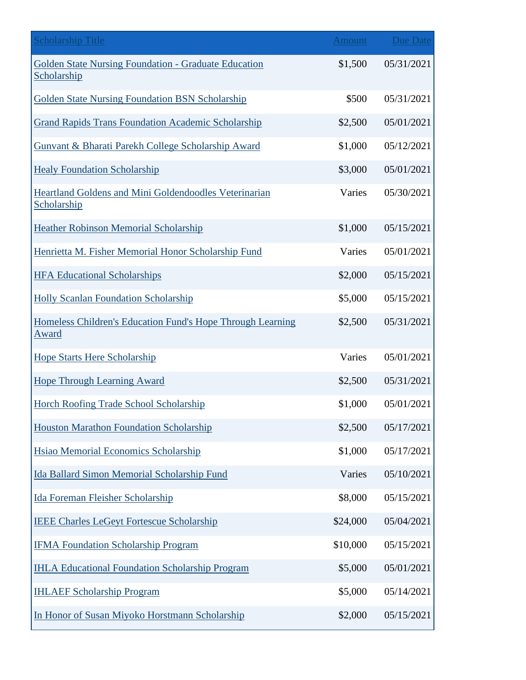| <b>Scholarship Title</b>                                                   | <b>Amount</b> | <b>Due Date</b> |
|----------------------------------------------------------------------------|---------------|-----------------|
| <b>Golden State Nursing Foundation - Graduate Education</b><br>Scholarship | \$1,500       | 05/31/2021      |
| <b>Golden State Nursing Foundation BSN Scholarship</b>                     | \$500         | 05/31/2021      |
| <b>Grand Rapids Trans Foundation Academic Scholarship</b>                  | \$2,500       | 05/01/2021      |
| Gunvant & Bharati Parekh College Scholarship Award                         | \$1,000       | 05/12/2021      |
| <b>Healy Foundation Scholarship</b>                                        | \$3,000       | 05/01/2021      |
| Heartland Goldens and Mini Goldendoodles Veterinarian<br>Scholarship       | Varies        | 05/30/2021      |
| <b>Heather Robinson Memorial Scholarship</b>                               | \$1,000       | 05/15/2021      |
| Henrietta M. Fisher Memorial Honor Scholarship Fund                        | Varies        | 05/01/2021      |
| <b>HFA Educational Scholarships</b>                                        | \$2,000       | 05/15/2021      |
| <b>Holly Scanlan Foundation Scholarship</b>                                | \$5,000       | 05/15/2021      |
| Homeless Children's Education Fund's Hope Through Learning<br><u>Award</u> | \$2,500       | 05/31/2021      |
| <b>Hope Starts Here Scholarship</b>                                        | Varies        | 05/01/2021      |
| <b>Hope Through Learning Award</b>                                         | \$2,500       | 05/31/2021      |
| Horch Roofing Trade School Scholarship                                     | \$1,000       | 05/01/2021      |
| <b>Houston Marathon Foundation Scholarship</b>                             | \$2,500       | 05/17/2021      |
| Hsiao Memorial Economics Scholarship                                       | \$1,000       | 05/17/2021      |
| <b>Ida Ballard Simon Memorial Scholarship Fund</b>                         | Varies        | 05/10/2021      |
| Ida Foreman Fleisher Scholarship                                           | \$8,000       | 05/15/2021      |
| <b>IEEE Charles LeGeyt Fortescue Scholarship</b>                           | \$24,000      | 05/04/2021      |
| <b>IFMA Foundation Scholarship Program</b>                                 | \$10,000      | 05/15/2021      |
| <b>IHLA Educational Foundation Scholarship Program</b>                     | \$5,000       | 05/01/2021      |
| <b>IHLAEF Scholarship Program</b>                                          | \$5,000       | 05/14/2021      |
| In Honor of Susan Miyoko Horstmann Scholarship                             | \$2,000       | 05/15/2021      |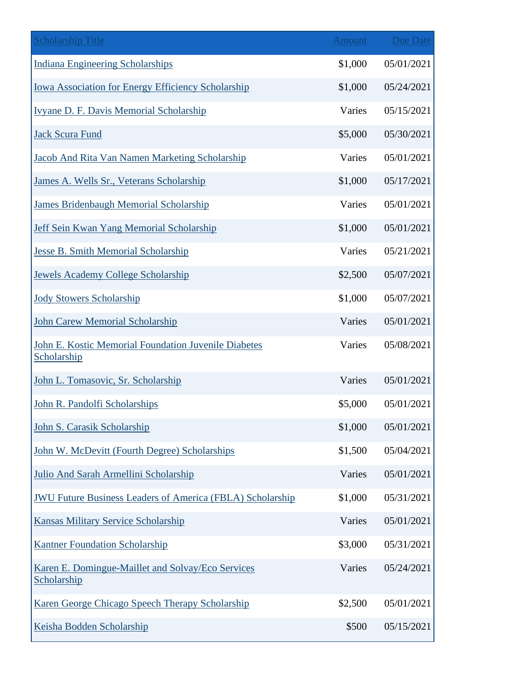| <b>Scholarship Title</b>                                            | <b>Amount</b> | Due Date   |
|---------------------------------------------------------------------|---------------|------------|
| <b>Indiana Engineering Scholarships</b>                             | \$1,000       | 05/01/2021 |
| <b>Iowa Association for Energy Efficiency Scholarship</b>           | \$1,000       | 05/24/2021 |
| Ivyane D. F. Davis Memorial Scholarship                             | Varies        | 05/15/2021 |
| <b>Jack Scura Fund</b>                                              | \$5,000       | 05/30/2021 |
| Jacob And Rita Van Namen Marketing Scholarship                      | Varies        | 05/01/2021 |
| James A. Wells Sr., Veterans Scholarship                            | \$1,000       | 05/17/2021 |
| <b>James Bridenbaugh Memorial Scholarship</b>                       | Varies        | 05/01/2021 |
| Jeff Sein Kwan Yang Memorial Scholarship                            | \$1,000       | 05/01/2021 |
| <b>Jesse B. Smith Memorial Scholarship</b>                          | Varies        | 05/21/2021 |
| <b>Jewels Academy College Scholarship</b>                           | \$2,500       | 05/07/2021 |
| <b>Jody Stowers Scholarship</b>                                     | \$1,000       | 05/07/2021 |
| <b>John Carew Memorial Scholarship</b>                              | Varies        | 05/01/2021 |
| John E. Kostic Memorial Foundation Juvenile Diabetes<br>Scholarship | Varies        | 05/08/2021 |
| John L. Tomasovic, Sr. Scholarship                                  | Varies        | 05/01/2021 |
| John R. Pandolfi Scholarships                                       | \$5,000       | 05/01/2021 |
| John S. Carasik Scholarship                                         | \$1,000       | 05/01/2021 |
| John W. McDevitt (Fourth Degree) Scholarships                       | \$1,500       | 05/04/2021 |
| Julio And Sarah Armellini Scholarship                               | Varies        | 05/01/2021 |
| <b>JWU Future Business Leaders of America (FBLA) Scholarship</b>    | \$1,000       | 05/31/2021 |
| <b>Kansas Military Service Scholarship</b>                          | Varies        | 05/01/2021 |
| <b>Kantner Foundation Scholarship</b>                               | \$3,000       | 05/31/2021 |
| Karen E. Domingue-Maillet and Solvay/Eco Services<br>Scholarship    | Varies        | 05/24/2021 |
| Karen George Chicago Speech Therapy Scholarship                     | \$2,500       | 05/01/2021 |
| Keisha Bodden Scholarship                                           | \$500         | 05/15/2021 |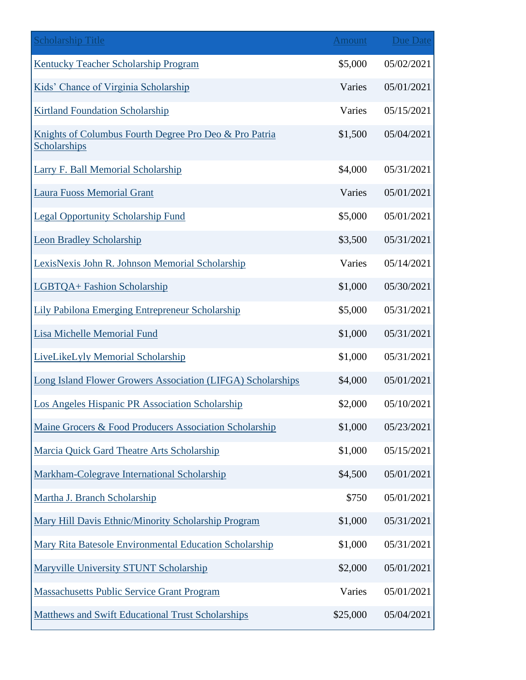| <b>Scholarship Title</b>                                               | <b>Amount</b> | <b>Due Date</b> |
|------------------------------------------------------------------------|---------------|-----------------|
| <b>Kentucky Teacher Scholarship Program</b>                            | \$5,000       | 05/02/2021      |
| Kids' Chance of Virginia Scholarship                                   | Varies        | 05/01/2021      |
| <b>Kirtland Foundation Scholarship</b>                                 | Varies        | 05/15/2021      |
| Knights of Columbus Fourth Degree Pro Deo & Pro Patria<br>Scholarships | \$1,500       | 05/04/2021      |
| Larry F. Ball Memorial Scholarship                                     | \$4,000       | 05/31/2021      |
| <b>Laura Fuoss Memorial Grant</b>                                      | Varies        | 05/01/2021      |
| <b>Legal Opportunity Scholarship Fund</b>                              | \$5,000       | 05/01/2021      |
| <b>Leon Bradley Scholarship</b>                                        | \$3,500       | 05/31/2021      |
| LexisNexis John R. Johnson Memorial Scholarship                        | Varies        | 05/14/2021      |
| <b>LGBTQA+ Fashion Scholarship</b>                                     | \$1,000       | 05/30/2021      |
| <b>Lily Pabilona Emerging Entrepreneur Scholarship</b>                 | \$5,000       | 05/31/2021      |
| <b>Lisa Michelle Memorial Fund</b>                                     | \$1,000       | 05/31/2021      |
| LiveLikeLyly Memorial Scholarship                                      | \$1,000       | 05/31/2021      |
| Long Island Flower Growers Association (LIFGA) Scholarships            | \$4,000       | 05/01/2021      |
| Los Angeles Hispanic PR Association Scholarship                        | \$2,000       | 05/10/2021      |
| Maine Grocers & Food Producers Association Scholarship                 | \$1,000       | 05/23/2021      |
| Marcia Quick Gard Theatre Arts Scholarship                             | \$1,000       | 05/15/2021      |
| Markham-Colegrave International Scholarship                            | \$4,500       | 05/01/2021      |
| Martha J. Branch Scholarship                                           | \$750         | 05/01/2021      |
| Mary Hill Davis Ethnic/Minority Scholarship Program                    | \$1,000       | 05/31/2021      |
| Mary Rita Batesole Environmental Education Scholarship                 | \$1,000       | 05/31/2021      |
| Maryville University STUNT Scholarship                                 | \$2,000       | 05/01/2021      |
| <b>Massachusetts Public Service Grant Program</b>                      | Varies        | 05/01/2021      |
| <b>Matthews and Swift Educational Trust Scholarships</b>               | \$25,000      | 05/04/2021      |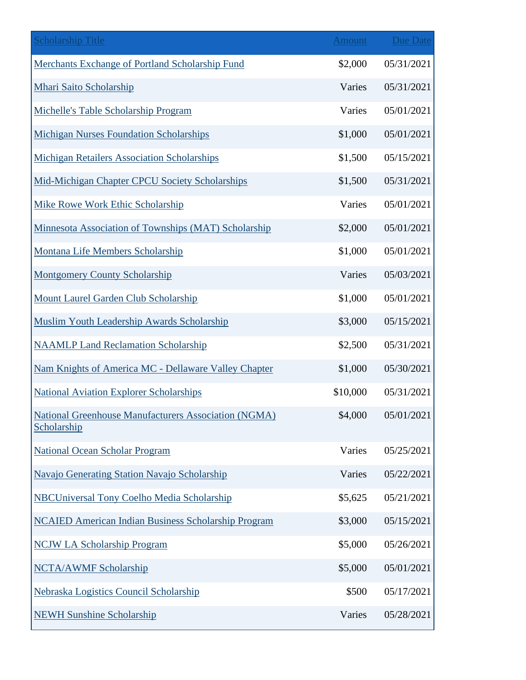| <b>Scholarship Title</b>                                            | <b>Amount</b> | <b>Due Date</b> |
|---------------------------------------------------------------------|---------------|-----------------|
| Merchants Exchange of Portland Scholarship Fund                     | \$2,000       | 05/31/2021      |
| Mhari Saito Scholarship                                             | Varies        | 05/31/2021      |
| Michelle's Table Scholarship Program                                | Varies        | 05/01/2021      |
| <b>Michigan Nurses Foundation Scholarships</b>                      | \$1,000       | 05/01/2021      |
| <b>Michigan Retailers Association Scholarships</b>                  | \$1,500       | 05/15/2021      |
| Mid-Michigan Chapter CPCU Society Scholarships                      | \$1,500       | 05/31/2021      |
| Mike Rowe Work Ethic Scholarship                                    | Varies        | 05/01/2021      |
| Minnesota Association of Townships (MAT) Scholarship                | \$2,000       | 05/01/2021      |
| Montana Life Members Scholarship                                    | \$1,000       | 05/01/2021      |
| <b>Montgomery County Scholarship</b>                                | Varies        | 05/03/2021      |
| <b>Mount Laurel Garden Club Scholarship</b>                         | \$1,000       | 05/01/2021      |
| Muslim Youth Leadership Awards Scholarship                          | \$3,000       | 05/15/2021      |
| <b>NAAMLP Land Reclamation Scholarship</b>                          | \$2,500       | 05/31/2021      |
| Nam Knights of America MC - Dellaware Valley Chapter                | \$1,000       | 05/30/2021      |
| <b>National Aviation Explorer Scholarships</b>                      | \$10,000      | 05/31/2021      |
| National Greenhouse Manufacturers Association (NGMA)<br>Scholarship | \$4,000       | 05/01/2021      |
| National Ocean Scholar Program                                      | Varies        | 05/25/2021      |
| Navajo Generating Station Navajo Scholarship                        | Varies        | 05/22/2021      |
| <b>NBCUniversal Tony Coelho Media Scholarship</b>                   | \$5,625       | 05/21/2021      |
| <b>NCAIED American Indian Business Scholarship Program</b>          | \$3,000       | 05/15/2021      |
| <b>NCJW LA Scholarship Program</b>                                  | \$5,000       | 05/26/2021      |
| <b>NCTA/AWMF Scholarship</b>                                        | \$5,000       | 05/01/2021      |
| Nebraska Logistics Council Scholarship                              | \$500         | 05/17/2021      |
| <b>NEWH Sunshine Scholarship</b>                                    | Varies        | 05/28/2021      |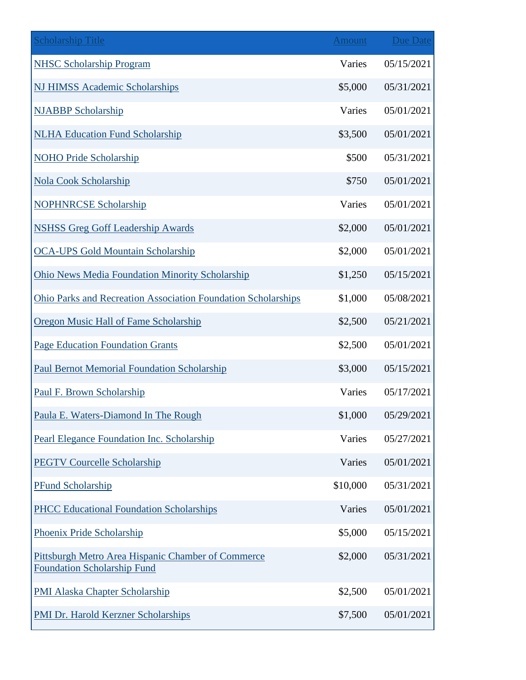| <b>Scholarship Title</b>                                                                 | <b>Amount</b> | <b>Due Date</b> |
|------------------------------------------------------------------------------------------|---------------|-----------------|
| <b>NHSC Scholarship Program</b>                                                          | Varies        | 05/15/2021      |
| <b>NJ HIMSS Academic Scholarships</b>                                                    | \$5,000       | 05/31/2021      |
| <b>NJABBP Scholarship</b>                                                                | Varies        | 05/01/2021      |
| <b>NLHA Education Fund Scholarship</b>                                                   | \$3,500       | 05/01/2021      |
| <b>NOHO Pride Scholarship</b>                                                            | \$500         | 05/31/2021      |
| <b>Nola Cook Scholarship</b>                                                             | \$750         | 05/01/2021      |
| <b>NOPHNRCSE Scholarship</b>                                                             | Varies        | 05/01/2021      |
| <b>NSHSS Greg Goff Leadership Awards</b>                                                 | \$2,000       | 05/01/2021      |
| <b>OCA-UPS Gold Mountain Scholarship</b>                                                 | \$2,000       | 05/01/2021      |
| <b>Ohio News Media Foundation Minority Scholarship</b>                                   | \$1,250       | 05/15/2021      |
| Ohio Parks and Recreation Association Foundation Scholarships                            | \$1,000       | 05/08/2021      |
| <b>Oregon Music Hall of Fame Scholarship</b>                                             | \$2,500       | 05/21/2021      |
| <b>Page Education Foundation Grants</b>                                                  | \$2,500       | 05/01/2021      |
| <b>Paul Bernot Memorial Foundation Scholarship</b>                                       | \$3,000       | 05/15/2021      |
| Paul F. Brown Scholarship                                                                | Varies        | 05/17/2021      |
| Paula E. Waters-Diamond In The Rough                                                     | \$1,000       | 05/29/2021      |
| Pearl Elegance Foundation Inc. Scholarship                                               | Varies        | 05/27/2021      |
| <b>PEGTV Courcelle Scholarship</b>                                                       | Varies        | 05/01/2021      |
| PFund Scholarship                                                                        | \$10,000      | 05/31/2021      |
| <b>PHCC Educational Foundation Scholarships</b>                                          | Varies        | 05/01/2021      |
| Phoenix Pride Scholarship                                                                | \$5,000       | 05/15/2021      |
| Pittsburgh Metro Area Hispanic Chamber of Commerce<br><b>Foundation Scholarship Fund</b> | \$2,000       | 05/31/2021      |
| <b>PMI Alaska Chapter Scholarship</b>                                                    | \$2,500       | 05/01/2021      |
| PMI Dr. Harold Kerzner Scholarships                                                      | \$7,500       | 05/01/2021      |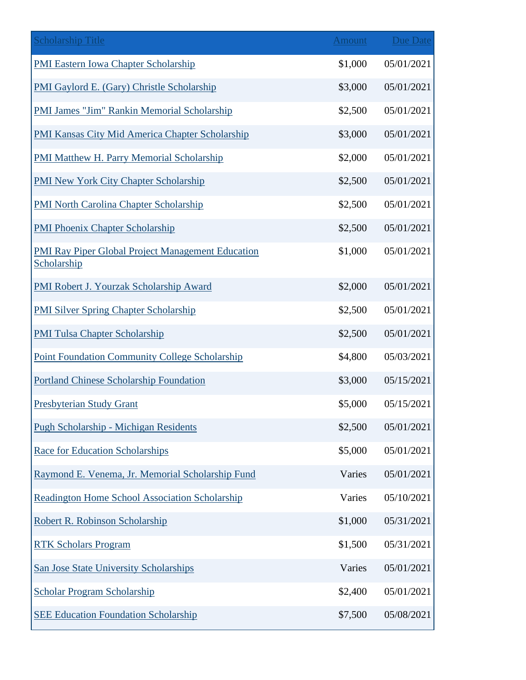| <b>Scholarship Title</b>                                                | <b>Amount</b> | <b>Due Date</b> |
|-------------------------------------------------------------------------|---------------|-----------------|
| <b>PMI Eastern Iowa Chapter Scholarship</b>                             | \$1,000       | 05/01/2021      |
| PMI Gaylord E. (Gary) Christle Scholarship                              | \$3,000       | 05/01/2021      |
| <b>PMI James "Jim" Rankin Memorial Scholarship</b>                      | \$2,500       | 05/01/2021      |
| PMI Kansas City Mid America Chapter Scholarship                         | \$3,000       | 05/01/2021      |
| PMI Matthew H. Parry Memorial Scholarship                               | \$2,000       | 05/01/2021      |
| <b>PMI New York City Chapter Scholarship</b>                            | \$2,500       | 05/01/2021      |
| <b>PMI North Carolina Chapter Scholarship</b>                           | \$2,500       | 05/01/2021      |
| <b>PMI Phoenix Chapter Scholarship</b>                                  | \$2,500       | 05/01/2021      |
| <b>PMI Ray Piper Global Project Management Education</b><br>Scholarship | \$1,000       | 05/01/2021      |
| <b>PMI Robert J. Yourzak Scholarship Award</b>                          | \$2,000       | 05/01/2021      |
| <b>PMI Silver Spring Chapter Scholarship</b>                            | \$2,500       | 05/01/2021      |
| <b>PMI Tulsa Chapter Scholarship</b>                                    | \$2,500       | 05/01/2021      |
| <b>Point Foundation Community College Scholarship</b>                   | \$4,800       | 05/03/2021      |
| <b>Portland Chinese Scholarship Foundation</b>                          | \$3,000       | 05/15/2021      |
| <b>Presbyterian Study Grant</b>                                         | \$5,000       | 05/15/2021      |
| <b>Pugh Scholarship - Michigan Residents</b>                            | \$2,500       | 05/01/2021      |
| <b>Race for Education Scholarships</b>                                  | \$5,000       | 05/01/2021      |
| Raymond E. Venema, Jr. Memorial Scholarship Fund                        | Varies        | 05/01/2021      |
| <b>Readington Home School Association Scholarship</b>                   | Varies        | 05/10/2021      |
| Robert R. Robinson Scholarship                                          | \$1,000       | 05/31/2021      |
| <b>RTK Scholars Program</b>                                             | \$1,500       | 05/31/2021      |
| <b>San Jose State University Scholarships</b>                           | Varies        | 05/01/2021      |
| <b>Scholar Program Scholarship</b>                                      | \$2,400       | 05/01/2021      |
| <b>SEE Education Foundation Scholarship</b>                             | \$7,500       | 05/08/2021      |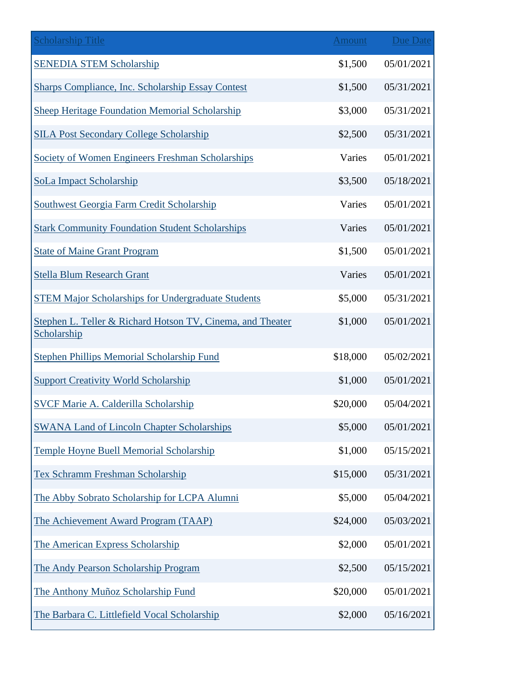| <b>Scholarship Title</b>                                                  | <b>Amount</b> | <b>Due Date</b> |
|---------------------------------------------------------------------------|---------------|-----------------|
| <b>SENEDIA STEM Scholarship</b>                                           | \$1,500       | 05/01/2021      |
| Sharps Compliance, Inc. Scholarship Essay Contest                         | \$1,500       | 05/31/2021      |
| <b>Sheep Heritage Foundation Memorial Scholarship</b>                     | \$3,000       | 05/31/2021      |
| <b>SILA Post Secondary College Scholarship</b>                            | \$2,500       | 05/31/2021      |
| Society of Women Engineers Freshman Scholarships                          | Varies        | 05/01/2021      |
| SoLa Impact Scholarship                                                   | \$3,500       | 05/18/2021      |
| Southwest Georgia Farm Credit Scholarship                                 | Varies        | 05/01/2021      |
| <b>Stark Community Foundation Student Scholarships</b>                    | Varies        | 05/01/2021      |
| <b>State of Maine Grant Program</b>                                       | \$1,500       | 05/01/2021      |
| <b>Stella Blum Research Grant</b>                                         | Varies        | 05/01/2021      |
| <b>STEM Major Scholarships for Undergraduate Students</b>                 | \$5,000       | 05/31/2021      |
| Stephen L. Teller & Richard Hotson TV, Cinema, and Theater<br>Scholarship | \$1,000       | 05/01/2021      |
| <b>Stephen Phillips Memorial Scholarship Fund</b>                         | \$18,000      | 05/02/2021      |
| <b>Support Creativity World Scholarship</b>                               | \$1,000       | 05/01/2021      |
| <b>SVCF Marie A. Calderilla Scholarship</b>                               | \$20,000      | 05/04/2021      |
| <b>SWANA Land of Lincoln Chapter Scholarships</b>                         | \$5,000       | 05/01/2021      |
| <b>Temple Hoyne Buell Memorial Scholarship</b>                            | \$1,000       | 05/15/2021      |
| <b>Tex Schramm Freshman Scholarship</b>                                   | \$15,000      | 05/31/2021      |
| The Abby Sobrato Scholarship for LCPA Alumni                              | \$5,000       | 05/04/2021      |
| The Achievement Award Program (TAAP)                                      | \$24,000      | 05/03/2021      |
| The American Express Scholarship                                          | \$2,000       | 05/01/2021      |
| The Andy Pearson Scholarship Program                                      | \$2,500       | 05/15/2021      |
| The Anthony Muñoz Scholarship Fund                                        | \$20,000      | 05/01/2021      |
| The Barbara C. Littlefield Vocal Scholarship                              | \$2,000       | 05/16/2021      |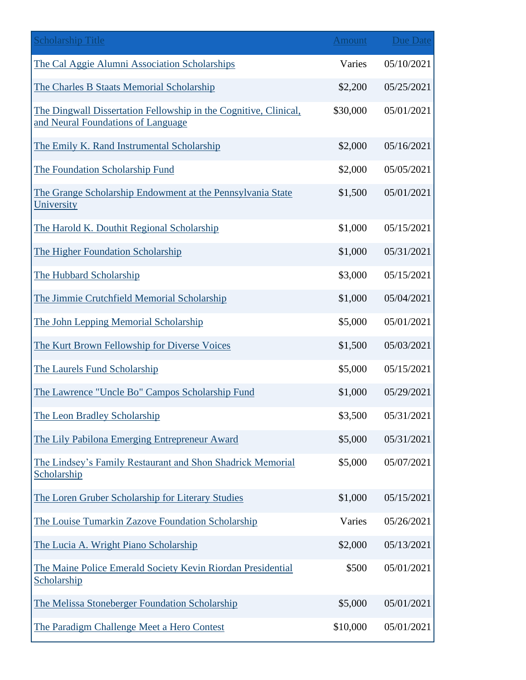| <b>Scholarship Title</b>                                                                               | <b>Amount</b> | <b>Due Date</b> |
|--------------------------------------------------------------------------------------------------------|---------------|-----------------|
| The Cal Aggie Alumni Association Scholarships                                                          | Varies        | 05/10/2021      |
| The Charles B Staats Memorial Scholarship                                                              | \$2,200       | 05/25/2021      |
| The Dingwall Dissertation Fellowship in the Cognitive, Clinical,<br>and Neural Foundations of Language | \$30,000      | 05/01/2021      |
| The Emily K. Rand Instrumental Scholarship                                                             | \$2,000       | 05/16/2021      |
| The Foundation Scholarship Fund                                                                        | \$2,000       | 05/05/2021      |
| The Grange Scholarship Endowment at the Pennsylvania State<br>University                               | \$1,500       | 05/01/2021      |
| The Harold K. Douthit Regional Scholarship                                                             | \$1,000       | 05/15/2021      |
| The Higher Foundation Scholarship                                                                      | \$1,000       | 05/31/2021      |
| The Hubbard Scholarship                                                                                | \$3,000       | 05/15/2021      |
| The Jimmie Crutchfield Memorial Scholarship                                                            | \$1,000       | 05/04/2021      |
| The John Lepping Memorial Scholarship                                                                  | \$5,000       | 05/01/2021      |
| The Kurt Brown Fellowship for Diverse Voices                                                           | \$1,500       | 05/03/2021      |
| The Laurels Fund Scholarship                                                                           | \$5,000       | 05/15/2021      |
| The Lawrence "Uncle Bo" Campos Scholarship Fund                                                        | \$1,000       | 05/29/2021      |
| The Leon Bradley Scholarship                                                                           | \$3,500       | 05/31/2021      |
| The Lily Pabilona Emerging Entrepreneur Award                                                          | \$5,000       | 05/31/2021      |
| The Lindsey's Family Restaurant and Shon Shadrick Memorial<br>Scholarship                              | \$5,000       | 05/07/2021      |
| The Loren Gruber Scholarship for Literary Studies                                                      | \$1,000       | 05/15/2021      |
| The Louise Tumarkin Zazove Foundation Scholarship                                                      | Varies        | 05/26/2021      |
| The Lucia A. Wright Piano Scholarship                                                                  | \$2,000       | 05/13/2021      |
| The Maine Police Emerald Society Kevin Riordan Presidential<br>Scholarship                             | \$500         | 05/01/2021      |
| The Melissa Stoneberger Foundation Scholarship                                                         | \$5,000       | 05/01/2021      |
| The Paradigm Challenge Meet a Hero Contest                                                             | \$10,000      | 05/01/2021      |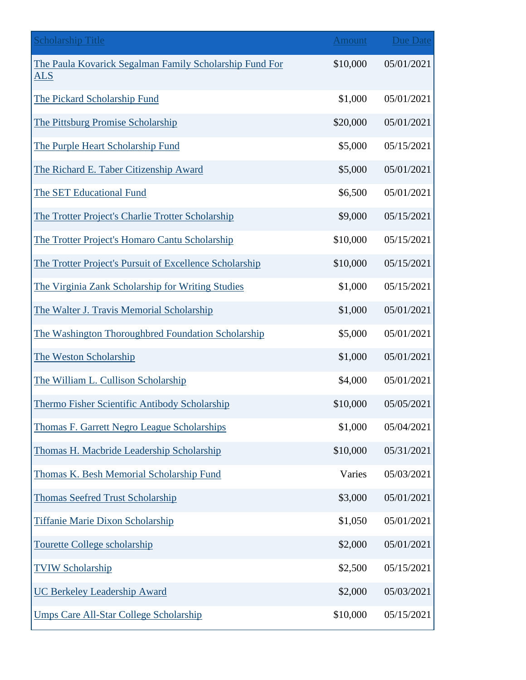| <b>Scholarship Title</b>                                              | <b>Amount</b> | <b>Due Date</b> |
|-----------------------------------------------------------------------|---------------|-----------------|
| The Paula Kovarick Segalman Family Scholarship Fund For<br><u>ALS</u> | \$10,000      | 05/01/2021      |
| The Pickard Scholarship Fund                                          | \$1,000       | 05/01/2021      |
| The Pittsburg Promise Scholarship                                     | \$20,000      | 05/01/2021      |
| The Purple Heart Scholarship Fund                                     | \$5,000       | 05/15/2021      |
| The Richard E. Taber Citizenship Award                                | \$5,000       | 05/01/2021      |
| The SET Educational Fund                                              | \$6,500       | 05/01/2021      |
| The Trotter Project's Charlie Trotter Scholarship                     | \$9,000       | 05/15/2021      |
| The Trotter Project's Homaro Cantu Scholarship                        | \$10,000      | 05/15/2021      |
| The Trotter Project's Pursuit of Excellence Scholarship               | \$10,000      | 05/15/2021      |
| The Virginia Zank Scholarship for Writing Studies                     | \$1,000       | 05/15/2021      |
| The Walter J. Travis Memorial Scholarship                             | \$1,000       | 05/01/2021      |
| The Washington Thoroughbred Foundation Scholarship                    | \$5,000       | 05/01/2021      |
| The Weston Scholarship                                                | \$1,000       | 05/01/2021      |
| The William L. Cullison Scholarship                                   | \$4,000       | 05/01/2021      |
| Thermo Fisher Scientific Antibody Scholarship                         | \$10,000      | 05/05/2021      |
| Thomas F. Garrett Negro League Scholarships                           | \$1,000       | 05/04/2021      |
| Thomas H. Macbride Leadership Scholarship                             | \$10,000      | 05/31/2021      |
| Thomas K. Besh Memorial Scholarship Fund                              | Varies        | 05/03/2021      |
| <b>Thomas Seefred Trust Scholarship</b>                               | \$3,000       | 05/01/2021      |
| <b>Tiffanie Marie Dixon Scholarship</b>                               | \$1,050       | 05/01/2021      |
| <b>Tourette College scholarship</b>                                   | \$2,000       | 05/01/2021      |
| <b>TVIW Scholarship</b>                                               | \$2,500       | 05/15/2021      |
| <b>UC Berkeley Leadership Award</b>                                   | \$2,000       | 05/03/2021      |
| <b>Umps Care All-Star College Scholarship</b>                         | \$10,000      | 05/15/2021      |